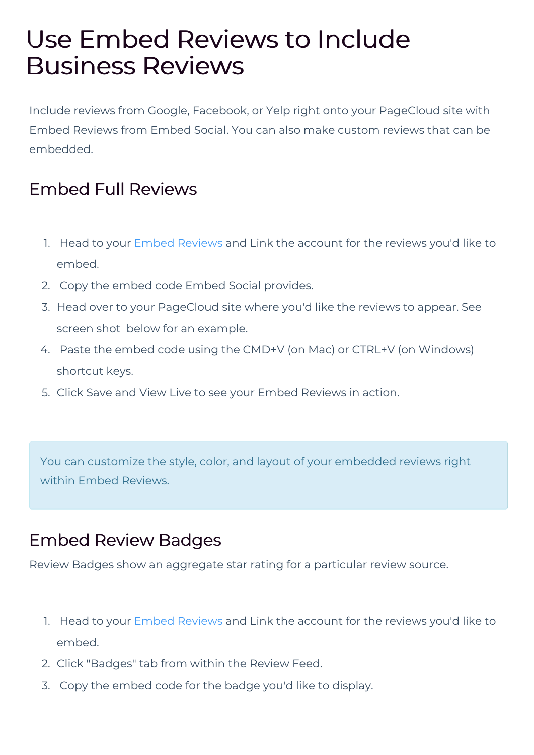## Use Embed Reviews to Include Business Reviews

Include reviews from Google, Facebook, or Yelp right onto your PageCloud site with Embed Reviews from Embed Social. You can also make custom reviews that can be embedded.

## Embed Full Reviews

- 1. Head to your Embed Reviews and Link the account for the reviews you'd like to embed.
- 2. Copy the embed code Embed Social provides.
- 3. Head over to your PageCloud site where you'd like the reviews to appear. See screen shot below for an example.
- 4. Paste the embed code using the CMD+V (on Mac) or CTRL+V (on Windows) shortcut keys.
- 5. Click Save and View Live to see your Embed Reviews in action.

You can customize the style, color, and layout of your embedded reviews right within Embed Reviews.

## Embed Review Badges

Review Badges show an aggregate star rating for a particular review source.

- 1. Head to your Embed Reviews and Link the account for the reviews you'd like to embed.
- 2. Click "Badges" tab from within the Review Feed.
- 3. Copy the embed code for the badge you'd like to display.